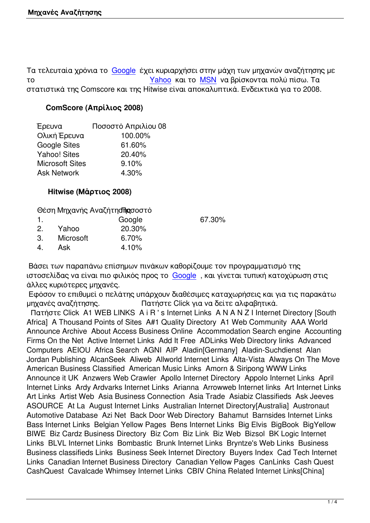Τα τελευταία χρόνια το Google έχει κυριαρχήσει στην μάχη των μηχανών αναζήτησης με το Yahoo και το MSN να βρίσκονται πολύ πίσω. Τα στατιστικά της Comscore και της Hitwise είναι αποκαλυπτικά. Ενδεικτικά για το 2008.

## **ComScore (Απρίλ[ιος 200](http://www.google.com)8)**

| Ποσοστό Απριλίου 08 |  |
|---------------------|--|
| 100.00%             |  |
| 61.60%              |  |
| 20.40%              |  |
| 9.10%               |  |
| 4.30%               |  |
|                     |  |

## **Hitwise (Μάρτιος 2008)**

Θέση Μηχανής Αναζήτηση ασοστό

|           | Google | 67.30% |  |
|-----------|--------|--------|--|
|           |        |        |  |
| Microsoft | 6.70%  |        |  |
| Ask       | 4.10%  |        |  |
|           | Yahoo  | 20.30% |  |

 Βάσει των παραπάνω επίσημων πινάκων καθορίζουμε τον προγραμματισμό της ιστοσελίδας να είναι πιο φιλικός προς το Google , και γίνεται τυπική κατοχύρωση στις άλλες κυριότερες μηχανές.

 Εφόσον το επιθυμεί ο πελάτης υπάρχουν διαθέσιμες καταχωρήσεις και για τις παρακάτω μηχανές αναζήτησης. Πατήστε [Click γι](http://www.google.com)α να δείτε αλφαβητικά.

 Πατήστε Click A1 WEB LINKS A i R ' s Internet Links A N A N Z I Internet Directory [South Africa] A Thousand Points of Sites A#1 Quality Directory A1 Web Community AAA World Announce Archive About Access Business Online Accommodation Search engine Accounting Firms On the Net Active Internet Links Add It Free ADLinks Web Directory links Advanced Computers AEIOU Africa Search AGNI AIP Aladin[Germany] Aladin-Suchdienst Alan Jordan Publishing AlcanSeek Aliweb Allworld Internet Links Alta-Vista Always On The Move American Business Classified American Music Links Amorn & Siripong WWW Links Announce it UK Anzwers Web Crawler Apollo Internet Directory Appolo Internet Links April Internet Links Ardy Ardvarks Internet Links Arianna Arrowweb Internet links Art Internet Links Art Links Artist Web Asia Business Connection Asia Trade Asiabiz Classifieds Ask Jeeves ASOURCE At La August Internet Links Australian Internet Directory[Australia] Austronaut Automotive Database Azi Net Back Door Web Directory Bahamut Barnsides Internet Links Bass Internet Links Belgian Yellow Pages Bens Internet Links Big Elvis BigBook BigYellow BIWE Biz Cardz Business Directory Biz Com Biz Link Biz Web Bizsol BK Logic Internet Links BLVL Internet Links Bombastic Brunk Internet Links Bryntze's Web Links Business Business classifieds Links Business Seek Internet Directory Buyers Index Cad Tech Internet Links Canadian Internet Business Directory Canadian Yellow Pages CanLinks Cash Quest CashQuest Cavalcade Whimsey Internet Links CBIV China Related Internet Links[China]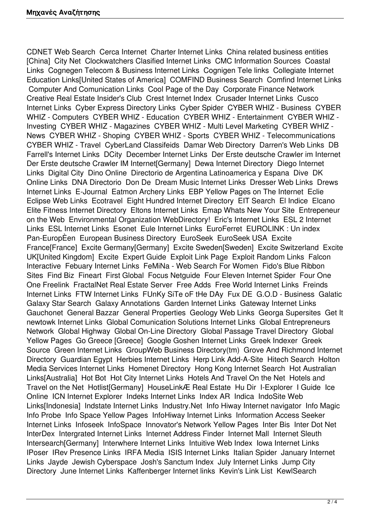CDNET Web Search Cerca Internet Charter Internet Links China related business entities [China] City Net Clockwatchers Clasified Internet Links CMC Information Sources Coastal Links Cognegen Telecom & Business Internet Links Cognigen Tele links Collegiate Internet Education Links[United States of America] COMFIND Business Search Comfind Internet Links Computer And Comunication Links Cool Page of the Day Corporate Finance Network Creative Real Estate Insider's Club Crest Internet Index Crusader Internet Links Cusco Internet Links Cyber Express Directory Links Cyber Spider CYBER WHIZ - Business CYBER WHIZ - Computers CYBER WHIZ - Education CYBER WHIZ - Entertainment CYBER WHIZ - Investing CYBER WHIZ - Magazines CYBER WHIZ - Multi Level Marketing CYBER WHIZ - News CYBER WHIZ - Shoping CYBER WHIZ - Sports CYBER WHIZ - Telecommunications CYBER WHIZ - Travel CyberLand Classifeids Damar Web Directory Darren's Web Links DB Farrell's Internet Links DCity December Internet Links Der Erste deutsche Crawler im Internet Der Erste deutsche Crawler IM Internet[Germany] Dewa Internet Directory Diego Internet Links Digital City Dino Online Directorio de Argentina Latinoamerica y Espana Dive DK Online Links DNA Directorio Don De Dream Music Internet Links Dresser Web Links Drews Internet Links E-Journal Eatmon Archery Links EBP Yellow Pages on The Internet Eclie Eclipse Web Links Ecotravel Eight Hundred Internet Directory EIT Search El Indice Elcano Elite Fitness Internet Directory Eltons Internet Links Emap Whats New Your Site Entrepeneur on the Web Environmental Organization WebDirectory! Eric's Internet Links ESL 2 Internet Links ESL Internet Links Esonet Eule Internet Links EuroFerret EUROLINK : Un index Pan-EuropÈen European Business Directory EuroSeek EuroSeek USA Excite France[France] Excite Germany[Germany] Excite Sweden[Sweden] Excite Switzerland Excite UK[United Kingdom] Excite Expert Guide Exploit Link Page Exploit Random Links Falcon Interactive Febuary Internet Links FeMiNa - Web Search For Women Fido's Blue Ribbon Sites Find Biz Fineart First Global Focus Netguide Four Eleven Internet Spider Four One One Freelink FractalNet Real Estate Server Free Adds Free World Internet Links Freinds Internet Links FTW Internet Links FUnKy SiTe oF tHe DAy Fux DE G.O.D - Business Galatic Galaxy Star Search Galaxy Annotations Garden Internet Links Gateway Internet Links Gauchonet General Bazzar General Properties Geology Web Links Georga Supersites Get It newtowk Internet Links Global Comunication Solutions Internet Links Global Entrepreneurs Network Global Highway Global On-Line Directory Global Passage Travel Directory Global Yellow Pages Go Greece [Greece] Google Goshen Internet Links Greek Indexer Greek Source Green Internet Links GroupWeb Business Directory(tm) Grove And Richmond Internet Directory Guardian Egypt Herbies Internet Links Herp Link Add-A-Site Hitech Search Holton Media Services Internet Links Homenet Directory Hong Kong Internet Search Hot Australian Links[Australia] Hot Bot Hot City Internet Links Hotels And Travel On the Net Hotels and Travel on the Net Hotlist[Germany] HouseLinkÆ Real Estate Hu Dir I-Explorer I Guide Ice Online ICN Internet Explorer Indeks Internet Links Index AR Indica IndoSite Web Links[Indonesia] Indstate Internet Links Industry.Net Info Hiway Internet navigator Info Magic Info Probe Info Space Yellow Pages InfoHiway Internet Links Information Access Seeker Internet Links Infoseek InfoSpace Innovator's Network Yellow Pages Inter Bis Inter Dot Net InterDex Intergrated Internet Links Internet Address Finder Internet Mall Internet Sleuth Intersearch[Germany] Interwhere Internet Links Intuitive Web Index Iowa Internet Links IPoser IRev Presence Links IRFA Media ISIS Internet Links Italian Spider January Internet Links Jayde Jewish Cyberspace Josh's Sanctum Index July Internet Links Jump City Directory June Internet Links Kaffenberger Internet links Kevin's Link List KewlSearch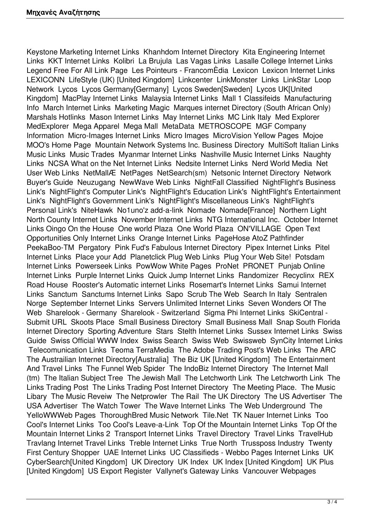Keystone Marketing Internet Links Khanhdom Internet Directory Kita Engineering Internet Links KKT Internet Links Kolibri La Brujula Las Vagas Links Lasalle College Internet Links Legend Free For All Link Page Les Pointeurs - FrancomÈdia Lexicon Lexicon Internet Links LEXICONN LifeStyle (UK) [United Kingdom] Linkcenter LinkMonster Links LinkStar Loop Network Lycos Lycos Germany[Germany] Lycos Sweden[Sweden] Lycos UK[United Kingdom] MacPlay Internet Links Malaysia Internet Links Mall 1 Classifeids Manufacturing Info March Internet Links Marketing Magic Marques internet Directory (South African Only) Marshals Hotlinks Mason Internet Links May Internet Links MC Link Italy Med Explorer MedExplorer Mega Apparel Mega Mall MetaData METROSCOPE MGF Company Information Micro-Images Internet Links Micro Images MicroVision Yellow Pages Mojoe MOO's Home Page Mountain Network Systems Inc. Business Directory MultiSoft Italian Links Music Links Music Trades Myanmar Internet Links Nashville Music Internet Links Naughty Links NCSA What on the Net Internet Links Nedsite Internet Links Nerd World Media Net User Web Links NetMallÆ NetPages NetSearch(sm) Netsonic Internet Directory Network Buyer's Guide Neuzugang NewWave Web Links NightFall Classified NightFlight's Business Link's NightFlight's Computer Link's NightFlight's Education Link's NightFlight's Entertainment Link's NightFlight's Government Link's NightFlight's Miscellaneous Link's NightFlight's Personal Link's NiteHawk No1uno'z add-a-link Nomade Nomade[France] Northern Light North County Internet Links November Internet Links NTG International Inc. October Internet Links Oingo On the House One world Plaza One World Plaza ON'VILLAGE Open Text Opportunities Only Internet Links Orange Internet Links PageHose AtoZ Pathfinder PeekaBoo-TM Pergatory Pink Fud's Fabulous Internet Directory Pipex Internet Links Pitel Internet Links Place your Add Planetclick Plug Web Links Plug Your Web Site! Potsdam Internet Links Powerseek Links PowWow White Pages ProNet PRONET Punjab Online Internet Links Purple Internet Links Quick Jump Internet Links Randomizer Recyclinx REX Road House Rooster's Automatic internet Links Rosemart's Internet Links Samui Internet Links Sanctum Sanctums Internet Links Sapo Scrub The Web Search In Italy Sentralen Norge September Internet Links Servers Unlimited Internet Links Seven Wonders Of The Web Sharelook - Germany Sharelook - Switzerland Sigma Phi Internet Links SkiCentral - Submit URL Skoots Place Small Business Directory Small Business Mall Snap South Florida Internet Directory Sporting Adventure Stars Stelth Internet Links Sussex Internet Links Swiss Guide Swiss Official WWW Index Swiss Search Swiss Web Swissweb SynCity Internet Links Telecomunication Links Teoma TerraMedia The Adobe Trading Post's Web Links The ARC The Austrailian Internet Directory[Australia] The Biz UK [United Kingdom] The Entertainment And Travel Links The Funnel Web Spider The IndoBiz Internet Directory The Internet Mall (tm) The Italian Subject Tree The Jewish Mall The Letchworth Link The Letchworth Link The Links Trading Post The Links Trading Post Internet Directory The Meeting Place. The Music Libary The Music Reveiw The Netprowler The Rail The UK Directory The US Advertiser The USA Advertiser The Watch Tower The Wave Internet Links The Web Underground The YelloWWWeb Pages ThoroughBred Music Network Tile.Net TK Nauer Internet Links Too Cool's Internet Links Too Cool's Leave-a-Link Top Of the Mountain Internet Links Top Of the Mountain Internet Links 2 Transport Internet Links Travel Directory Travel Links TravelHub Travlang Internet Travel Links Treble Internet Links True North Trussposs Industry Twenty First Century Shopper UAE Internet Links UC Classifieds - Webbo Pages Internet Links UK CyberSearch[United Kingdom] UK Directory UK Index UK Index [United Kingdom] UK Plus [United Kingdom] US Export Register Vallynet's Gateway Links Vancouver Webpages